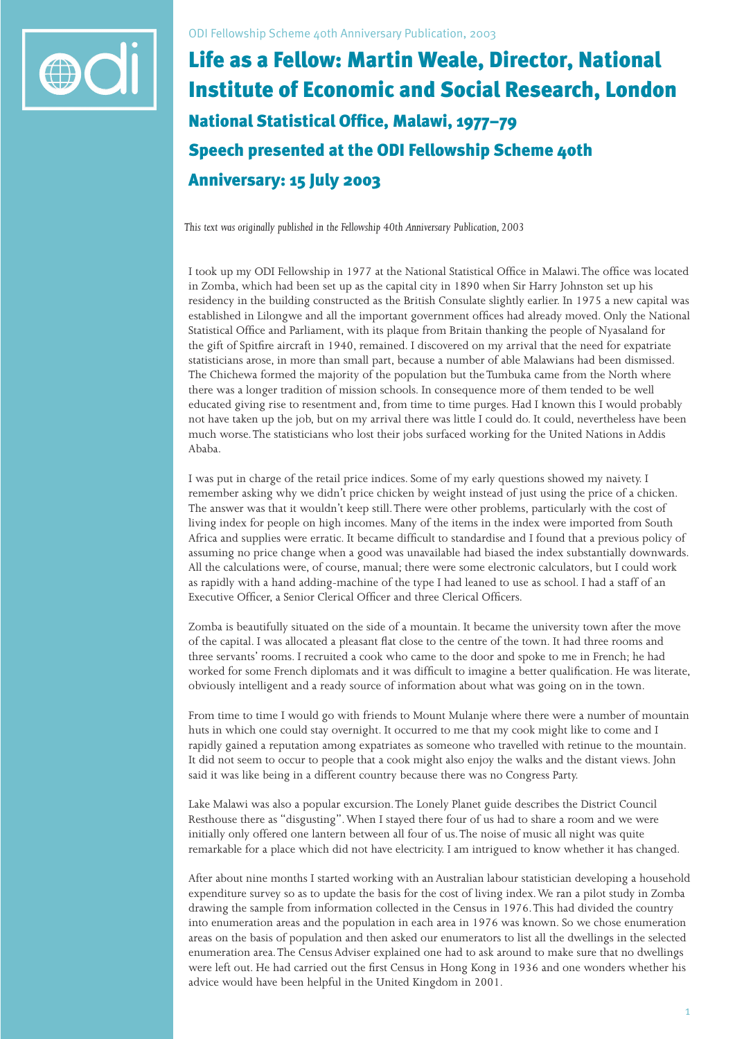

## Life as a Fellow: Martin Weale, Director, National Institute of Economic and Social Research, London National Statistical Office, Malawi, 1977-79 Speech presented at the ODI Fellowship Scheme 40th Anniversary: 15 July 2003

*This text was originally published in the Fellowship 40th Anniversary Publication, 2003*

I took up my ODI Fellowship in 1977 at the National Statistical Office in Malawi. The office was located in Zomba, which had been set up as the capital city in 1890 when Sir Harry Johnston set up his residency in the building constructed as the British Consulate slightly earlier. In 1975 a new capital was established in Lilongwe and all the important government offices had already moved. Only the National Statistical Office and Parliament, with its plaque from Britain thanking the people of Nyasaland for the gift of Spitfire aircraft in 1940, remained. I discovered on my arrival that the need for expatriate statisticians arose, in more than small part, because a number of able Malawians had been dismissed. The Chichewa formed the majority of the population but the Tumbuka came from the North where there was a longer tradition of mission schools. In consequence more of them tended to be well educated giving rise to resentment and, from time to time purges. Had I known this I would probably not have taken up the job, but on my arrival there was little I could do. It could, nevertheless have been much worse. The statisticians who lost their jobs surfaced working for the United Nations in Addis Ababa.

I was put in charge of the retail price indices. Some of my early questions showed my naivety. I remember asking why we didn't price chicken by weight instead of just using the price of a chicken. The answer was that it wouldn't keep still. There were other problems, particularly with the cost of living index for people on high incomes. Many of the items in the index were imported from South Africa and supplies were erratic. It became difficult to standardise and I found that a previous policy of assuming no price change when a good was unavailable had biased the index substantially downwards. All the calculations were, of course, manual; there were some electronic calculators, but I could work as rapidly with a hand adding-machine of the type I had leaned to use as school. I had a staff of an Executive Officer, a Senior Clerical Officer and three Clerical Officers.

Zomba is beautifully situated on the side of a mountain. It became the university town after the move of the capital. I was allocated a pleasant flat close to the centre of the town. It had three rooms and three servants' rooms. I recruited a cook who came to the door and spoke to me in French; he had worked for some French diplomats and it was difficult to imagine a better qualification. He was literate, obviously intelligent and a ready source of information about what was going on in the town.

From time to time I would go with friends to Mount Mulanje where there were a number of mountain huts in which one could stay overnight. It occurred to me that my cook might like to come and I rapidly gained a reputation among expatriates as someone who travelled with retinue to the mountain. It did not seem to occur to people that a cook might also enjoy the walks and the distant views. John said it was like being in a different country because there was no Congress Party.

Lake Malawi was also a popular excursion. The Lonely Planet guide describes the District Council Resthouse there as "disgusting". When I stayed there four of us had to share a room and we were initially only offered one lantern between all four of us. The noise of music all night was quite remarkable for a place which did not have electricity. I am intrigued to know whether it has changed.

After about nine months I started working with an Australian labour statistician developing a household expenditure survey so as to update the basis for the cost of living index. We ran a pilot study in Zomba drawing the sample from information collected in the Census in 1976. This had divided the country into enumeration areas and the population in each area in 1976 was known. So we chose enumeration areas on the basis of population and then asked our enumerators to list all the dwellings in the selected enumeration area. The Census Adviser explained one had to ask around to make sure that no dwellings were left out. He had carried out the first Census in Hong Kong in 1936 and one wonders whether his advice would have been helpful in the United Kingdom in 2001.